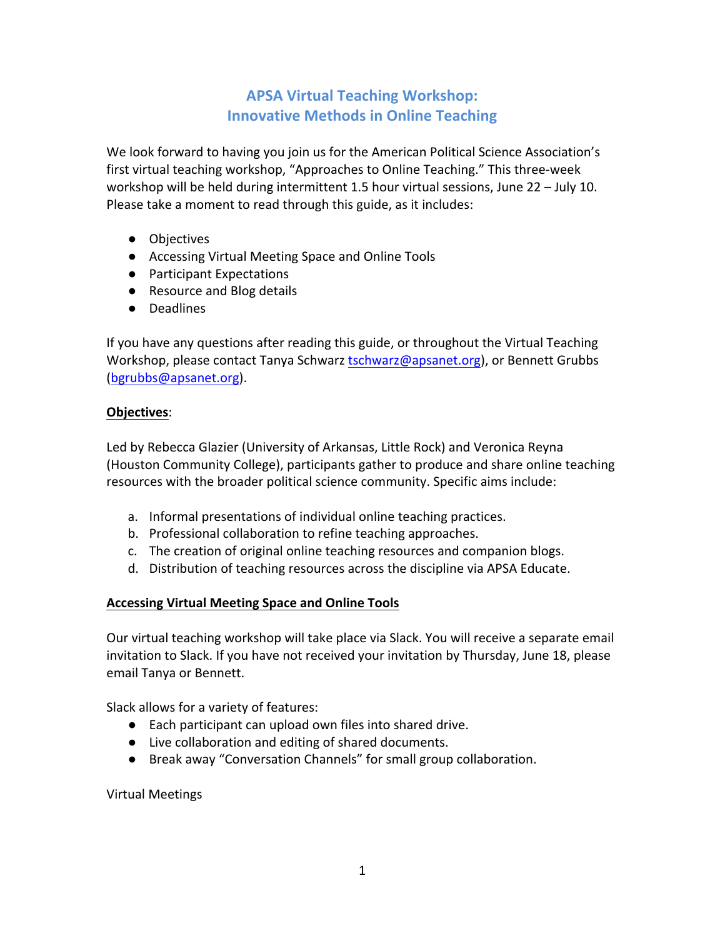# **APSA Virtual Teaching Workshop: Innovative Methods in Online Teaching**

We look forward to having you join us for the American Political Science Association's first virtual teaching workshop, "Approaches to Online Teaching." This three-week workshop will be held during intermittent 1.5 hour virtual sessions, June  $22 - July 10$ . Please take a moment to read through this guide, as it includes:

- Objectives
- Accessing Virtual Meeting Space and Online Tools
- Participant Expectations
- Resource and Blog details
- Deadlines

If you have any questions after reading this guide, or throughout the Virtual Teaching Workshop, please contact Tanya Schwarz tschwarz@apsanet.org), or Bennett Grubbs (bgrubbs@apsanet.org).

### **Objectives**:

Led by Rebecca Glazier (University of Arkansas, Little Rock) and Veronica Reyna (Houston Community College), participants gather to produce and share online teaching resources with the broader political science community. Specific aims include:

- a. Informal presentations of individual online teaching practices.
- b. Professional collaboration to refine teaching approaches.
- c. The creation of original online teaching resources and companion blogs.
- d. Distribution of teaching resources across the discipline via APSA Educate.

## **Accessing Virtual Meeting Space and Online Tools**

Our virtual teaching workshop will take place via Slack. You will receive a separate email invitation to Slack. If you have not received your invitation by Thursday, June 18, please email Tanya or Bennett.

Slack allows for a variety of features:

- Each participant can upload own files into shared drive.
- Live collaboration and editing of shared documents.
- Break away "Conversation Channels" for small group collaboration.

Virtual Meetings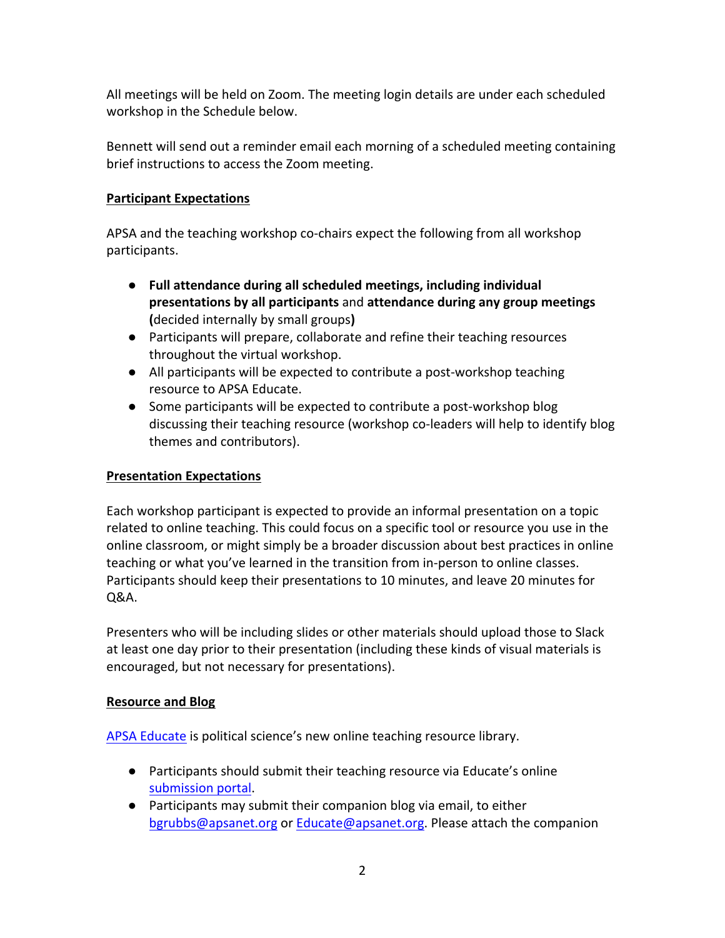All meetings will be held on Zoom. The meeting login details are under each scheduled workshop in the Schedule below.

Bennett will send out a reminder email each morning of a scheduled meeting containing brief instructions to access the Zoom meeting.

## **Participant Expectations**

APSA and the teaching workshop co-chairs expect the following from all workshop participants.

- Full attendance during all scheduled meetings, including individual **presentations by all participants** and **attendance during any group meetings (**decided internally by small groups)
- Participants will prepare, collaborate and refine their teaching resources throughout the virtual workshop.
- All participants will be expected to contribute a post-workshop teaching resource to APSA Educate.
- Some participants will be expected to contribute a post-workshop blog discussing their teaching resource (workshop co-leaders will help to identify blog themes and contributors).

## **Presentation Expectations**

Each workshop participant is expected to provide an informal presentation on a topic related to online teaching. This could focus on a specific tool or resource you use in the online classroom, or might simply be a broader discussion about best practices in online teaching or what you've learned in the transition from in-person to online classes. Participants should keep their presentations to 10 minutes, and leave 20 minutes for Q&A.

Presenters who will be including slides or other materials should upload those to Slack at least one day prior to their presentation (including these kinds of visual materials is encouraged, but not necessary for presentations).

## **Resource and Blog**

APSA Educate is political science's new online teaching resource library.

- Participants should submit their teaching resource via Educate's online submission portal.
- Participants may submit their companion blog via email, to either bgrubbs@apsanet.org or Educate@apsanet.org. Please attach the companion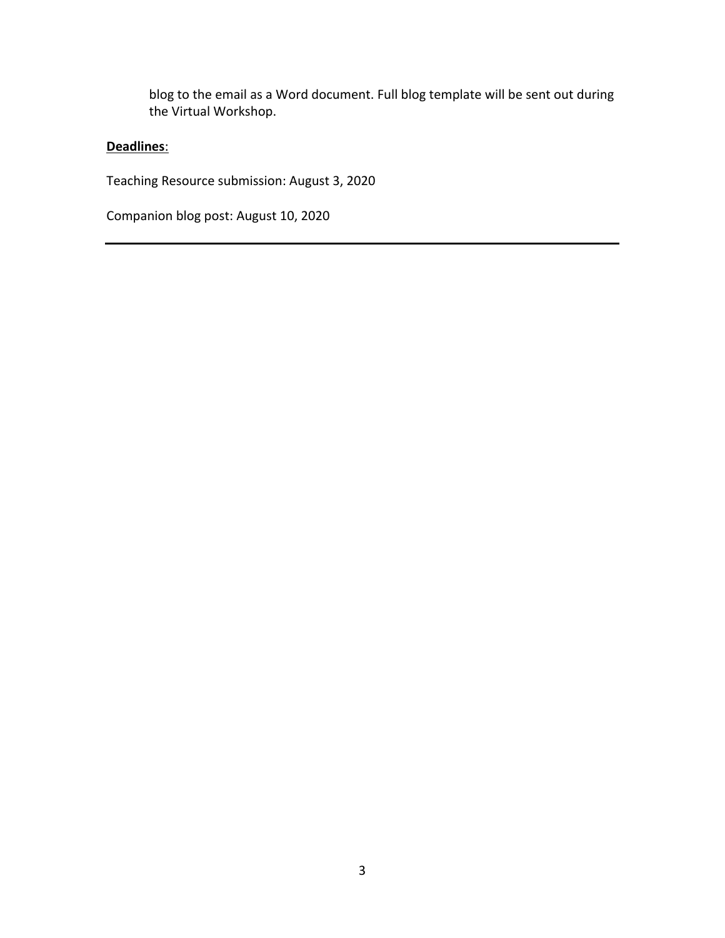blog to the email as a Word document. Full blog template will be sent out during the Virtual Workshop.

## **Deadlines**:

Teaching Resource submission: August 3, 2020

Companion blog post: August 10, 2020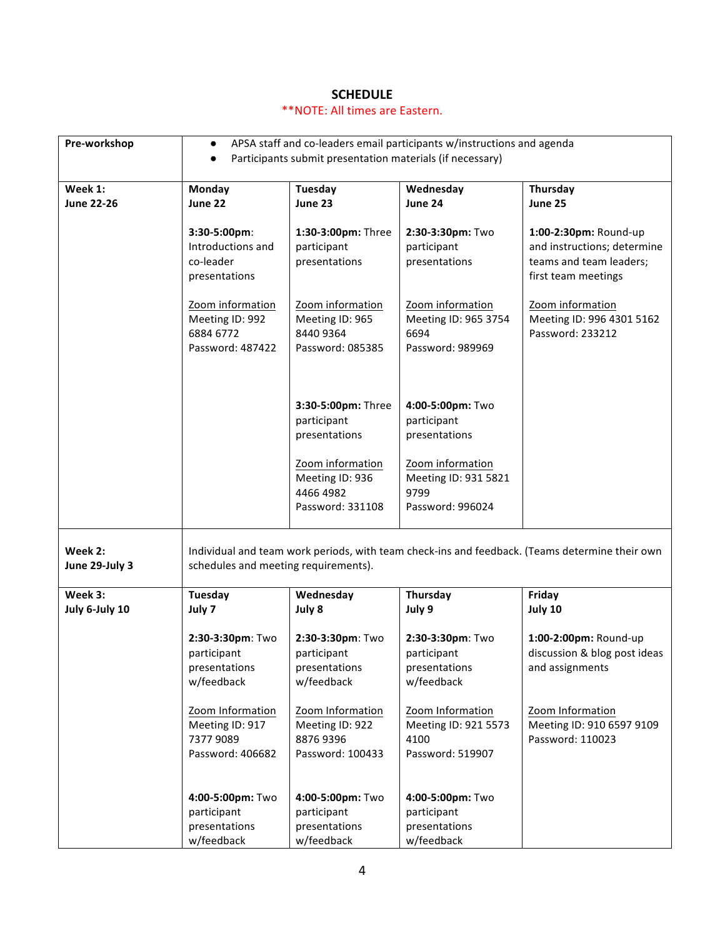#### **SCHEDULE**

#### \*\*NOTE: All times are Eastern.

| Pre-workshop                 | $\bullet$                                                                                                                              |                                                                      | APSA staff and co-leaders email participants w/instructions and agenda |                                                                                                        |  |  |
|------------------------------|----------------------------------------------------------------------------------------------------------------------------------------|----------------------------------------------------------------------|------------------------------------------------------------------------|--------------------------------------------------------------------------------------------------------|--|--|
|                              | $\bullet$                                                                                                                              | Participants submit presentation materials (if necessary)            |                                                                        |                                                                                                        |  |  |
| Week 1:<br><b>June 22-26</b> | Monday<br>June 22                                                                                                                      | <b>Tuesday</b><br>June 23                                            | Wednesday<br>June 24                                                   | Thursday<br>June 25                                                                                    |  |  |
|                              | 3:30-5:00pm:<br>Introductions and<br>co-leader<br>presentations                                                                        | 1:30-3:00pm: Three<br>participant<br>presentations                   | 2:30-3:30pm: Two<br>participant<br>presentations                       | 1:00-2:30pm: Round-up<br>and instructions; determine<br>teams and team leaders;<br>first team meetings |  |  |
|                              | Zoom information<br>Meeting ID: 992<br>6884 6772<br>Password: 487422                                                                   | Zoom information<br>Meeting ID: 965<br>8440 9364<br>Password: 085385 | Zoom information<br>Meeting ID: 965 3754<br>6694<br>Password: 989969   | Zoom information<br>Meeting ID: 996 4301 5162<br>Password: 233212                                      |  |  |
|                              |                                                                                                                                        | 3:30-5:00pm: Three<br>participant<br>presentations                   | 4:00-5:00pm: Two<br>participant<br>presentations                       |                                                                                                        |  |  |
|                              |                                                                                                                                        | Zoom information<br>Meeting ID: 936<br>4466 4982<br>Password: 331108 | Zoom information<br>Meeting ID: 931 5821<br>9799<br>Password: 996024   |                                                                                                        |  |  |
| Week 2:<br>June 29-July 3    | Individual and team work periods, with team check-ins and feedback. (Teams determine their own<br>schedules and meeting requirements). |                                                                      |                                                                        |                                                                                                        |  |  |
| Week 3:<br>July 6-July 10    | <b>Tuesday</b><br>July 7                                                                                                               | Wednesday<br>July 8                                                  | Thursday<br>July 9                                                     | Friday<br>July 10                                                                                      |  |  |
|                              | 2:30-3:30pm: Two<br>participant<br>presentations<br>w/feedback                                                                         | 2:30-3:30pm: Two<br>participant<br>presentations<br>w/feedback       | 2:30-3:30pm: Two<br>participant<br>presentations<br>w/feedback         | 1:00-2:00pm: Round-up<br>discussion & blog post ideas<br>and assignments                               |  |  |
|                              | Zoom Information<br>Meeting ID: 917<br>7377 9089<br>Password: 406682                                                                   | Zoom Information<br>Meeting ID: 922<br>8876 9396<br>Password: 100433 | Zoom Information<br>Meeting ID: 921 5573<br>4100<br>Password: 519907   | Zoom Information<br>Meeting ID: 910 6597 9109<br>Password: 110023                                      |  |  |
|                              | 4:00-5:00pm: Two<br>participant<br>presentations<br>w/feedback                                                                         | 4:00-5:00pm: Two<br>participant<br>presentations<br>w/feedback       | 4:00-5:00pm: Two<br>participant<br>presentations<br>w/feedback         |                                                                                                        |  |  |